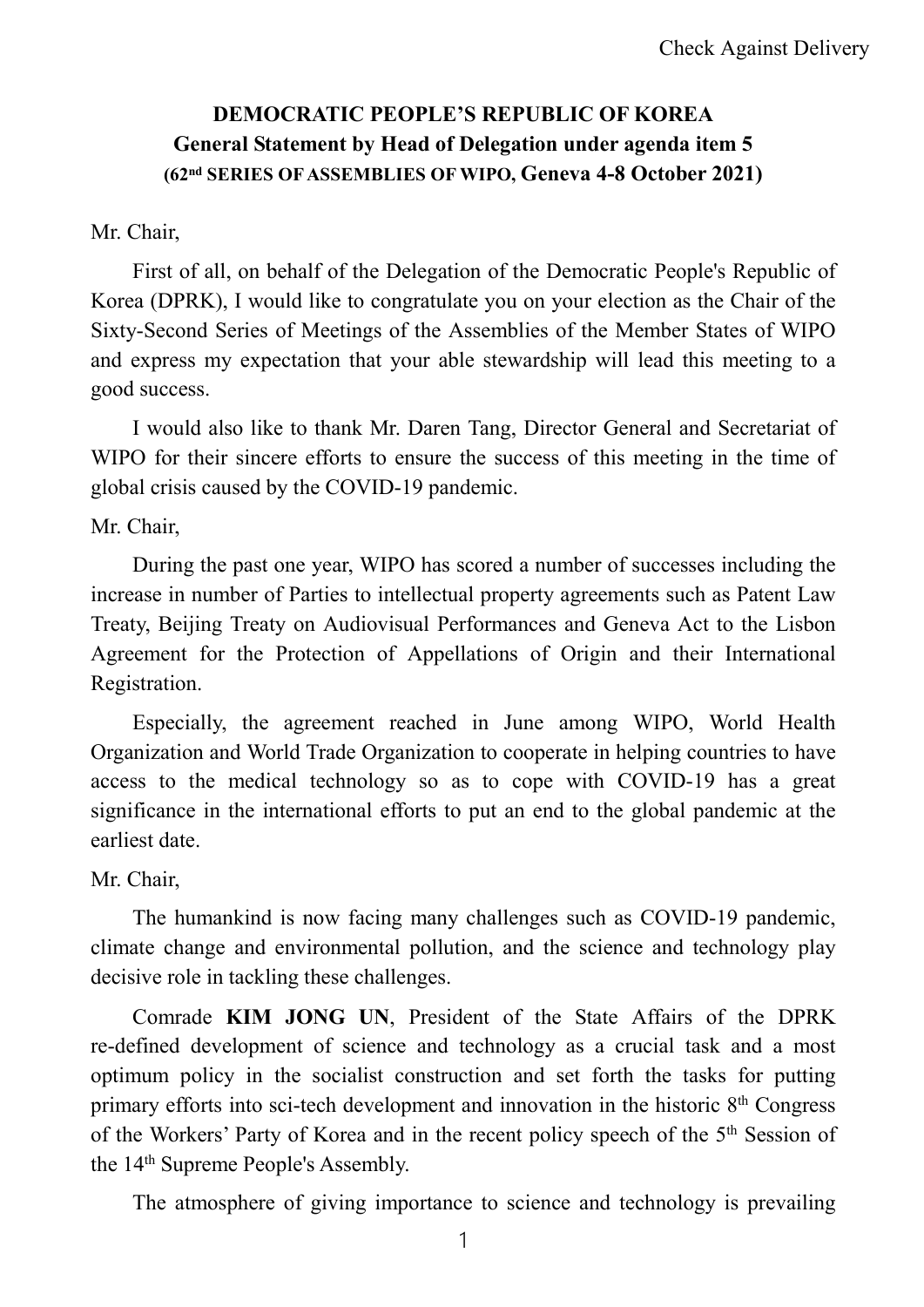## **DEMOCRATIC PEOPLE'S REPUBLIC OF KOREA General Statement by Head of Delegation under agenda item 5 (62nd SERIES OFASSEMBLIES OF WIPO, Geneva 4-8 October 2021)**

## Mr. Chair,

First of all, on behalf of the Delegation of the Democratic People's Republic of Korea (DPRK), I would like to congratulate you on your election as the Chair of the Sixty-Second Series of Meetings of the Assemblies of the Member States of WIPO and express my expectation that your able stewardship will lead this meeting to a good success.

I would also like to thank Mr. Daren Tang, Director General and Secretariat of WIPO for their sincere efforts to ensure the success of this meeting in the time of global crisis caused by the COVID-19 pandemic.

Mr. Chair,

During the past one year, WIPO has scored a number of successes including the increase in number of Parties to intellectual property agreements such as Patent Law Treaty, Beijing Treaty on Audiovisual Performances and Geneva Act to the Lisbon Agreement for the Protection of Appellations of Origin and their International Registration.

Especially, the agreement reached in June among WIPO, World Health Organization and World Trade Organization to cooperate in helping countries to have access to the medical technology so as to cope with COVID-19 has a great significance in the international efforts to put an end to the global pandemic at the earliest date.

## Mr. Chair,

The humankind is now facing many challenges such as COVID-19 pandemic, climate change and environmental pollution, and the science and technology play decisive role in tackling these challenges.

Comrade **KIM JONG UN**, President of the State Affairs of the DPRK re-defined development of science and technology as a crucial task and a most optimum policy in the socialist construction and set forth the tasks for putting primary efforts into sci-tech development and innovation in the historic  $8<sup>th</sup>$  Congress of the Workers' Party of Korea and in the recent policy speech of the 5<sup>th</sup> Session of the 14<sup>th</sup> Supreme People's Assembly.

The atmosphere of giving importance to science and technology is prevailing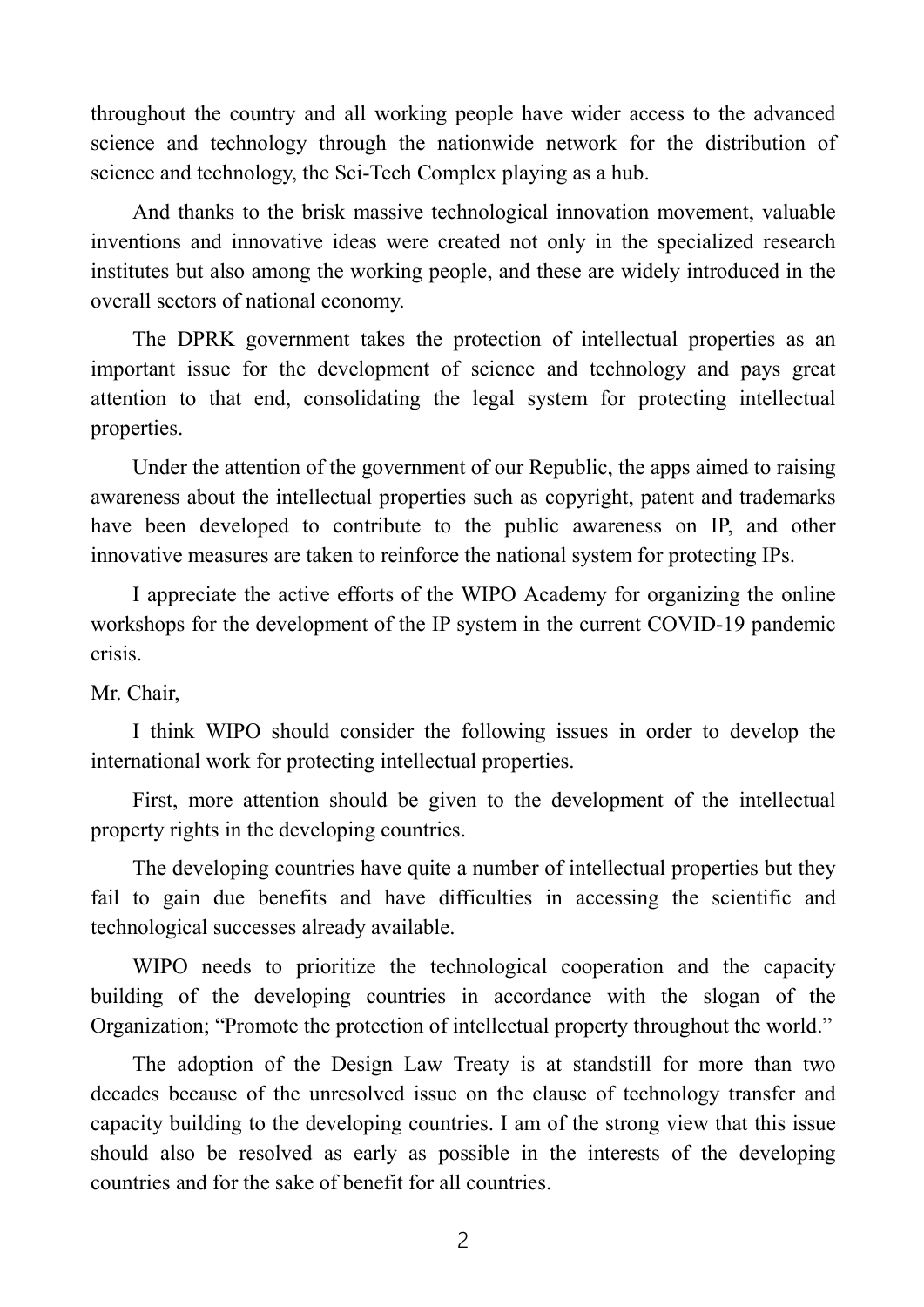throughout the country and all working people have wider access to the advanced science and technology through the nationwide network for the distribution of science and technology, the Sci-Tech Complex playing as a hub.

And thanks to the brisk massive technological innovation movement, valuable inventions and innovative ideas were created not only in the specialized research institutes but also among the working people, and these are widely introduced in the overall sectors of national economy.

The DPRK government takes the protection of intellectual properties as an important issue for the development of science and technology and pays great attention to that end, consolidating the legal system for protecting intellectual properties.

Under the attention of the government of our Republic, the apps aimed to raising awareness about the intellectual properties such as copyright, patent and trademarks have been developed to contribute to the public awareness on IP, and other innovative measures are taken to reinforce the national system for protecting IPs.

I appreciate the active efforts of the WIPO Academy for organizing the online workshops for the development of the IP system in the current COVID-19 pandemic crisis.

Mr. Chair,

I think WIPO should consider the following issues in order to develop the international work for protecting intellectual properties.

First, more attention should be given to the development of the intellectual property rights in the developing countries.

The developing countries have quite a number of intellectual properties but they fail to gain due benefits and have difficulties in accessing the scientific and technological successes already available.

WIPO needs to prioritize the technological cooperation and the capacity building of the developing countries in accordance with the slogan of the Organization; "Promote the protection of intellectual property throughout the world."

The adoption of the Design Law Treaty is at standstill for more than two decades because of the unresolved issue on the clause of technology transfer and capacity building to the developing countries. I am of the strong view that this issue should also be resolved as early as possible in the interests of the developing countries and for the sake of benefit for all countries.